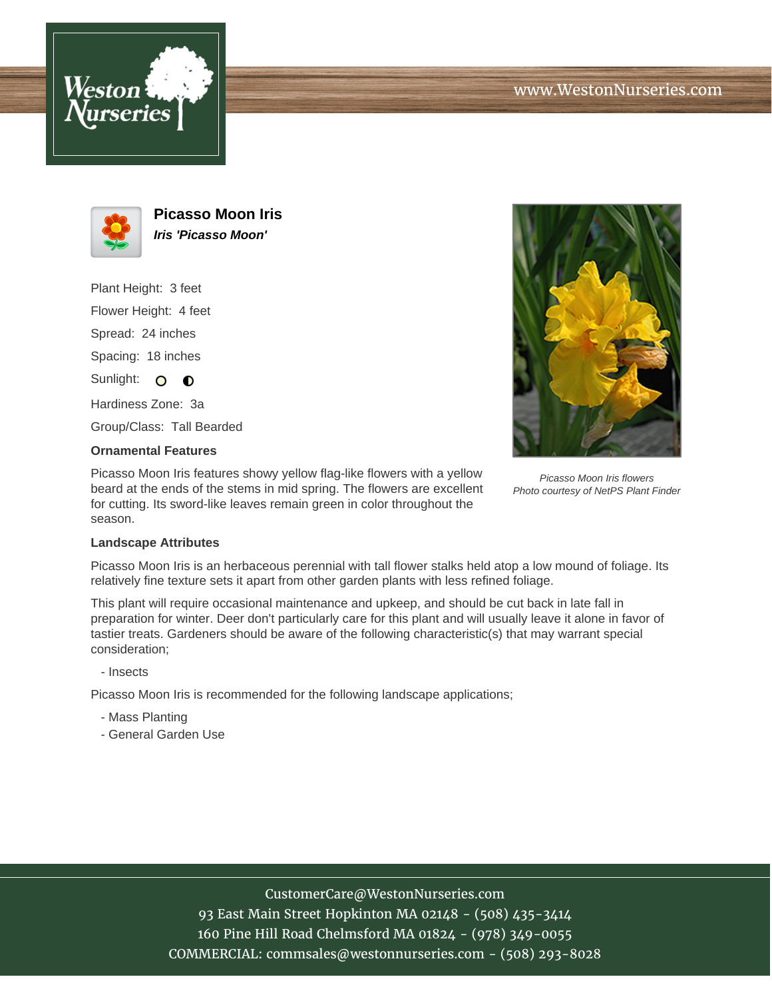



**Picasso Moon Iris Iris 'Picasso Moon'**

Plant Height: 3 feet Flower Height: 4 feet Spread: 24 inches Spacing: 18 inches Sunlight: O O Hardiness Zone: 3a Group/Class: Tall Bearded



## **Ornamental Features**

Picasso Moon Iris features showy yellow flag-like flowers with a yellow beard at the ends of the stems in mid spring. The flowers are excellent for cutting. Its sword-like leaves remain green in color throughout the season.

Picasso Moon Iris flowers Photo courtesy of NetPS Plant Finder

## **Landscape Attributes**

Picasso Moon Iris is an herbaceous perennial with tall flower stalks held atop a low mound of foliage. Its relatively fine texture sets it apart from other garden plants with less refined foliage.

This plant will require occasional maintenance and upkeep, and should be cut back in late fall in preparation for winter. Deer don't particularly care for this plant and will usually leave it alone in favor of tastier treats. Gardeners should be aware of the following characteristic(s) that may warrant special consideration;

- Insects

Picasso Moon Iris is recommended for the following landscape applications;

- Mass Planting
- General Garden Use

## CustomerCare@WestonNurseries.com

93 East Main Street Hopkinton MA 02148 - (508) 435-3414 160 Pine Hill Road Chelmsford MA 01824 - (978) 349-0055 COMMERCIAL: commsales@westonnurseries.com - (508) 293-8028